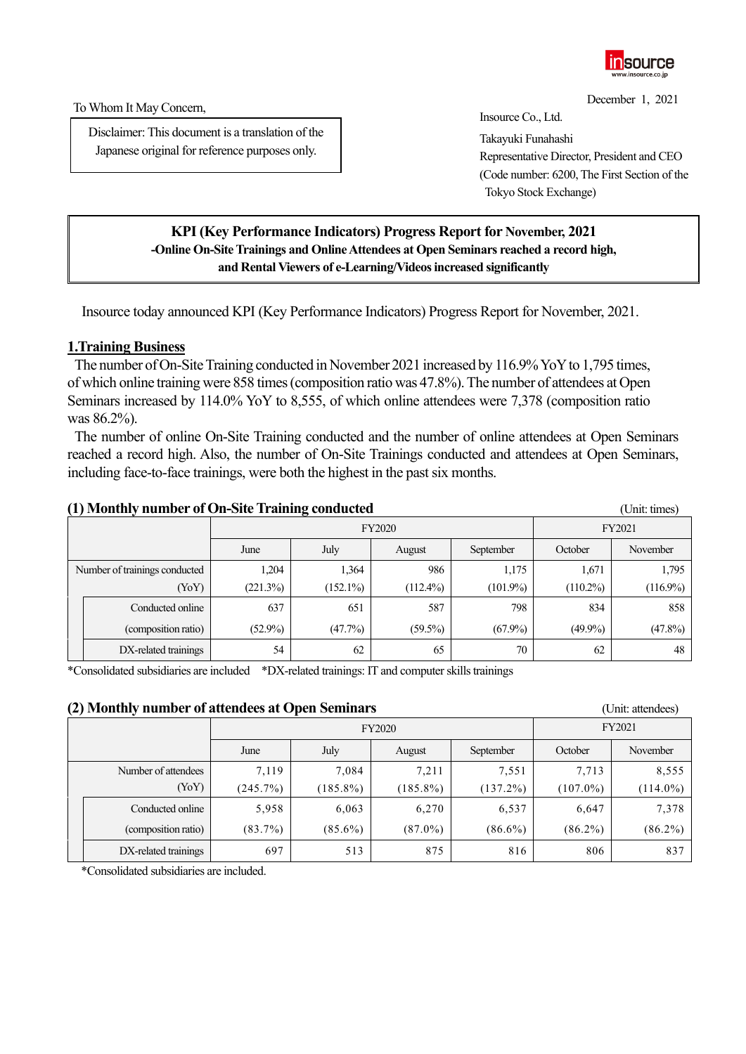

December 1, 2021

To Whom It May Concern,

Disclaimer: This document is a translation of the Japanese original for reference purposes only.

Insource Co., Ltd. Takayuki Funahashi Representative Director, President and CEO (Code number: 6200, The First Section of the Tokyo Stock Exchange)

# **KPI (Key Performance Indicators) Progress Report for November, 2021 -Online On-Site Trainings and Online Attendees at Open Seminars reached a record high, and Rental Viewers of e-Learning/Videosincreased significantly**

Insource today announced KPI (Key Performance Indicators) Progress Report for November, 2021.

# **1.Training Business**

The number of On-Site Training conducted in November 2021 increased by 116.9% Yo Y to 1,795 times, of which online training were 858 times(composition ratio was 47.8%). The number of attendees at Open Seminars increased by 114.0% YoY to 8,555, of which online attendees were 7,378 (composition ratio was 86.2%).

The number of online On-Site Training conducted and the number of online attendees at Open Seminars reached a record high. Also, the number of On-Site Trainings conducted and attendees at Open Seminars, including face-to-face trainings, were both the highest in the past six months.

| (1) Monthly number of On-Site Training conducted |                                     |            |               |             |             |             | (Unit: times) |
|--------------------------------------------------|-------------------------------------|------------|---------------|-------------|-------------|-------------|---------------|
|                                                  |                                     |            | <b>FY2020</b> | FY2021      |             |             |               |
|                                                  | July<br>September<br>June<br>August |            | October       | November    |             |             |               |
| Number of trainings conducted                    |                                     | 1,204      | 1,364         | 986         | 1,175       | 1,671       | 1,795         |
|                                                  | (YoY)                               | (221.3%)   | $(152.1\%)$   | $(112.4\%)$ | $(101.9\%)$ | $(110.2\%)$ | $(116.9\%)$   |
|                                                  | Conducted online                    | 637        | 651           | 587         | 798         | 834         | 858           |
|                                                  | (composition ratio)                 | $(52.9\%)$ | (47.7%)       | $(59.5\%)$  | $(67.9\%)$  | $(49.9\%)$  | (47.8%)       |
|                                                  | DX-related trainings                | 54         | 62            | 65          | 70          | 62          | 48            |

\*Consolidated subsidiaries are included \*DX-related trainings: IT and computer skills trainings

### **(2) Monthly number of attendees at Open Seminars** (Unit: attendees)

| $\sim$ | $\cdot$                             |               |             |             |             |             |             |
|--------|-------------------------------------|---------------|-------------|-------------|-------------|-------------|-------------|
|        |                                     | <b>FY2020</b> |             |             |             | FY2021      |             |
|        | July<br>June<br>September<br>August |               |             |             |             | October     | November    |
|        | Number of attendees                 | 7,119         | 7,084       | 7,211       | 7,551       | 7,713       | 8,555       |
|        | (YoY)                               | (245.7%)      | $(185.8\%)$ | $(185.8\%)$ | $(137.2\%)$ | $(107.0\%)$ | $(114.0\%)$ |
|        | Conducted online                    | 5,958         | 6,063       | 6,270       | 6,537       | 6,647       | 7,378       |
|        | (composition ratio)                 | $(83.7\%)$    | $(85.6\%)$  | $(87.0\%)$  | $(86.6\%)$  | $(86.2\%)$  | $(86.2\%)$  |
|        | DX-related trainings                | 697           | 513         | 875         | 816         | 806         | 837         |

\*Consolidated subsidiaries are included.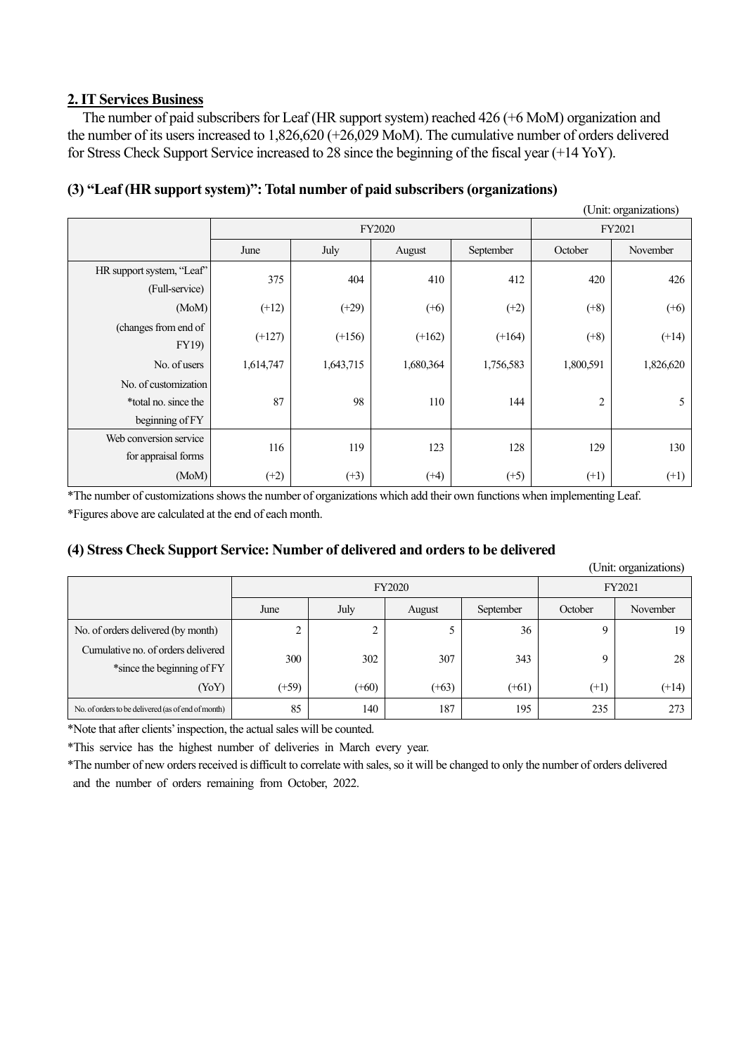## **2. IT Services Business**

The number of paid subscribers for Leaf (HR support system) reached 426 (+6 MoM) organization and the number of its users increased to 1,826,620 (+26,029 MoM). The cumulative number of orders delivered for Stress Check Support Service increased to 28 since the beginning of the fiscal year (+14 YoY).

|                                                                 |           |               |           |           |                | (Unit: organizations) |
|-----------------------------------------------------------------|-----------|---------------|-----------|-----------|----------------|-----------------------|
|                                                                 |           | <b>FY2020</b> | FY2021    |           |                |                       |
|                                                                 | June      | July          | August    | September | October        | November              |
| HR support system, "Leaf"<br>(Full-service)                     | 375       | 404           | 410       | 412       | 420            | 426                   |
| (MoM)                                                           | $(+12)$   | $(+29)$       | $(+6)$    | $(+2)$    | $(+8)$         | $(+6)$                |
| (changes from end of<br><b>FY19</b> )                           | $(+127)$  | $(+156)$      | $(+162)$  | $(+164)$  | $(+8)$         | $(+14)$               |
| No. of users                                                    | 1,614,747 | 1,643,715     | 1,680,364 | 1,756,583 | 1,800,591      | 1,826,620             |
| No. of customization<br>*total no. since the<br>beginning of FY | 87        | 98            | 110       | 144       | $\overline{c}$ | 5                     |
| Web conversion service<br>for appraisal forms                   | 116       | 119           | 123       | 128       | 129            | 130                   |
| (MoM)                                                           | $(+2)$    | $(+3)$        | $(+4)$    | $(+5)$    | $(+1)$         | $(+1)$                |

## **(3) "Leaf (HR support system)": Total number of paid subscribers (organizations)**

\*The number of customizations shows the number of organizations which add their own functions when implementing Leaf. \*Figures above are calculated at the end of each month.

#### **(4) Stress Check Support Service: Number of delivered and orders to be delivered**

|                                                                  |         |               |         |           |         | (Unit: organizations) |
|------------------------------------------------------------------|---------|---------------|---------|-----------|---------|-----------------------|
|                                                                  |         | <b>FY2020</b> | FY2021  |           |         |                       |
|                                                                  | June    | July          | August  | September | October | November              |
| No. of orders delivered (by month)                               |         | ↑<br>∠        | 5       | 36        | Q       | 19                    |
| Cumulative no. of orders delivered<br>*since the beginning of FY | 300     | 302           | 307     | 343       | Q       | 28                    |
| (YoY)                                                            | $(+59)$ | $(+60)$       | $(+63)$ | $(+61)$   | $(+1)$  | $(+14)$               |
| No. of orders to be delivered (as of end of month)               | 85      | 140           | 187     | 195       | 235     | 273                   |

\*Note that after clients'inspection, the actualsales will be counted.

\*This service has the highest number of deliveries in March every year.

\*The number of new orders received is difficult to correlate with sales, so it will be changed to only the number of orders delivered and the number of orders remaining from October, 2022.